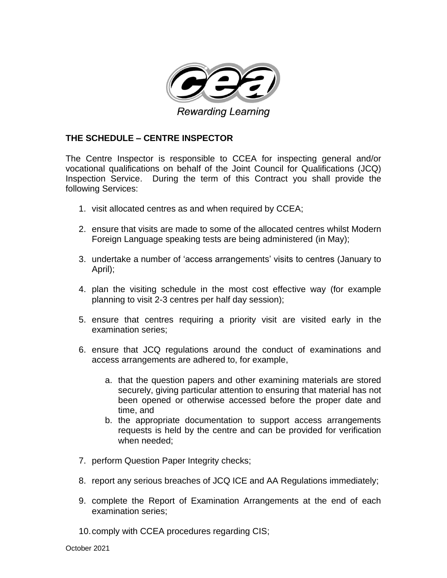

## **THE SCHEDULE – CENTRE INSPECTOR**

The Centre Inspector is responsible to CCEA for inspecting general and/or vocational qualifications on behalf of the Joint Council for Qualifications (JCQ) Inspection Service. During the term of this Contract you shall provide the following Services:

- 1. visit allocated centres as and when required by CCEA;
- 2. ensure that visits are made to some of the allocated centres whilst Modern Foreign Language speaking tests are being administered (in May);
- 3. undertake a number of 'access arrangements' visits to centres (January to April);
- 4. plan the visiting schedule in the most cost effective way (for example planning to visit 2-3 centres per half day session);
- 5. ensure that centres requiring a priority visit are visited early in the examination series;
- 6. ensure that JCQ regulations around the conduct of examinations and access arrangements are adhered to, for example,
	- a. that the question papers and other examining materials are stored securely, giving particular attention to ensuring that material has not been opened or otherwise accessed before the proper date and time, and
	- b. the appropriate documentation to support access arrangements requests is held by the centre and can be provided for verification when needed;
- 7. perform Question Paper Integrity checks;
- 8. report any serious breaches of JCQ ICE and AA Regulations immediately;
- 9. complete the Report of Examination Arrangements at the end of each examination series;
- 10.comply with CCEA procedures regarding CIS;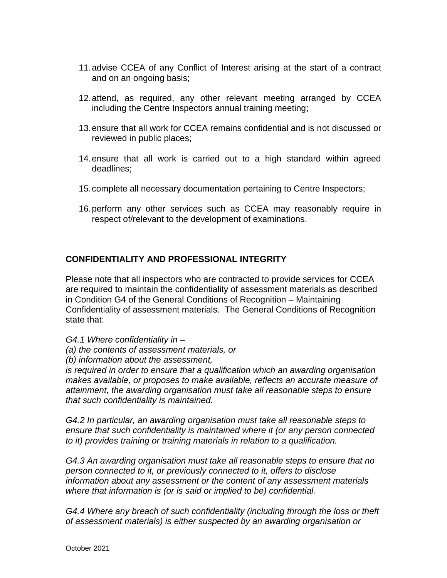- 11.advise CCEA of any Conflict of Interest arising at the start of a contract and on an ongoing basis;
- 12.attend, as required, any other relevant meeting arranged by CCEA including the Centre Inspectors annual training meeting;
- 13.ensure that all work for CCEA remains confidential and is not discussed or reviewed in public places;
- 14.ensure that all work is carried out to a high standard within agreed deadlines;
- 15.complete all necessary documentation pertaining to Centre Inspectors;
- 16.perform any other services such as CCEA may reasonably require in respect of/relevant to the development of examinations.

# **CONFIDENTIALITY AND PROFESSIONAL INTEGRITY**

Please note that all inspectors who are contracted to provide services for CCEA are required to maintain the confidentiality of assessment materials as described in Condition G4 of the General Conditions of Recognition – Maintaining Confidentiality of assessment materials. The General Conditions of Recognition state that:

*G4.1 Where confidentiality in –*

- *(a) the contents of assessment materials, or*
- *(b) information about the assessment,*

*is required in order to ensure that a qualification which an awarding organisation makes available, or proposes to make available, reflects an accurate measure of attainment, the awarding organisation must take all reasonable steps to ensure that such confidentiality is maintained.* 

*G4.2 In particular, an awarding organisation must take all reasonable steps to ensure that such confidentiality is maintained where it (or any person connected to it) provides training or training materials in relation to a qualification.* 

*G4.3 An awarding organisation must take all reasonable steps to ensure that no person connected to it, or previously connected to it, offers to disclose information about any assessment or the content of any assessment materials where that information is (or is said or implied to be) confidential.* 

*G4.4 Where any breach of such confidentiality (including through the loss or theft of assessment materials) is either suspected by an awarding organisation or*